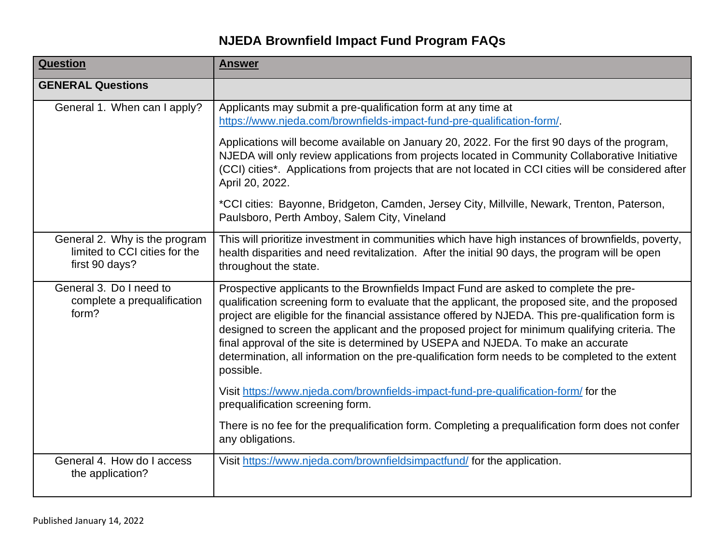## **NJEDA Brownfield Impact Fund Program FAQs**

| <b>Question</b>                                                                  | <b>Answer</b>                                                                                                                                                                                                                                                                                                                                                                                                                                                                                                                                                                                         |
|----------------------------------------------------------------------------------|-------------------------------------------------------------------------------------------------------------------------------------------------------------------------------------------------------------------------------------------------------------------------------------------------------------------------------------------------------------------------------------------------------------------------------------------------------------------------------------------------------------------------------------------------------------------------------------------------------|
| <b>GENERAL Questions</b>                                                         |                                                                                                                                                                                                                                                                                                                                                                                                                                                                                                                                                                                                       |
| General 1. When can I apply?                                                     | Applicants may submit a pre-qualification form at any time at<br>https://www.njeda.com/brownfields-impact-fund-pre-qualification-form/.                                                                                                                                                                                                                                                                                                                                                                                                                                                               |
|                                                                                  | Applications will become available on January 20, 2022. For the first 90 days of the program,<br>NJEDA will only review applications from projects located in Community Collaborative Initiative<br>(CCI) cities*. Applications from projects that are not located in CCI cities will be considered after<br>April 20, 2022.                                                                                                                                                                                                                                                                          |
|                                                                                  | *CCI cities: Bayonne, Bridgeton, Camden, Jersey City, Millville, Newark, Trenton, Paterson,<br>Paulsboro, Perth Amboy, Salem City, Vineland                                                                                                                                                                                                                                                                                                                                                                                                                                                           |
| General 2. Why is the program<br>limited to CCI cities for the<br>first 90 days? | This will prioritize investment in communities which have high instances of brownfields, poverty,<br>health disparities and need revitalization. After the initial 90 days, the program will be open<br>throughout the state.                                                                                                                                                                                                                                                                                                                                                                         |
| General 3. Do I need to<br>complete a prequalification<br>form?                  | Prospective applicants to the Brownfields Impact Fund are asked to complete the pre-<br>qualification screening form to evaluate that the applicant, the proposed site, and the proposed<br>project are eligible for the financial assistance offered by NJEDA. This pre-qualification form is<br>designed to screen the applicant and the proposed project for minimum qualifying criteria. The<br>final approval of the site is determined by USEPA and NJEDA. To make an accurate<br>determination, all information on the pre-qualification form needs to be completed to the extent<br>possible. |
|                                                                                  | Visit https://www.njeda.com/brownfields-impact-fund-pre-qualification-form/ for the<br>prequalification screening form.                                                                                                                                                                                                                                                                                                                                                                                                                                                                               |
|                                                                                  | There is no fee for the prequalification form. Completing a prequalification form does not confer<br>any obligations.                                                                                                                                                                                                                                                                                                                                                                                                                                                                                 |
| General 4. How do I access<br>the application?                                   | Visit https://www.njeda.com/brownfieldsimpactfund/ for the application.                                                                                                                                                                                                                                                                                                                                                                                                                                                                                                                               |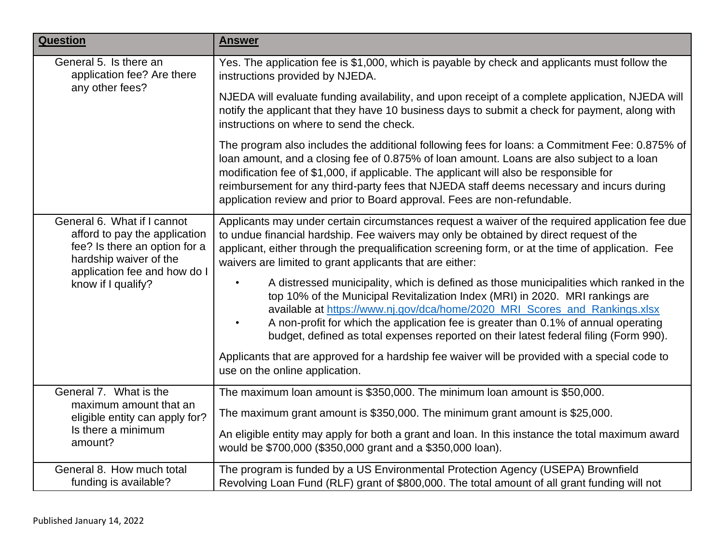| <b>Question</b>                                                                                                                                                               | <b>Answer</b>                                                                                                                                                                                                                                                                                                                                                                                                                                                  |
|-------------------------------------------------------------------------------------------------------------------------------------------------------------------------------|----------------------------------------------------------------------------------------------------------------------------------------------------------------------------------------------------------------------------------------------------------------------------------------------------------------------------------------------------------------------------------------------------------------------------------------------------------------|
| General 5. Is there an<br>application fee? Are there<br>any other fees?                                                                                                       | Yes. The application fee is \$1,000, which is payable by check and applicants must follow the<br>instructions provided by NJEDA.                                                                                                                                                                                                                                                                                                                               |
|                                                                                                                                                                               | NJEDA will evaluate funding availability, and upon receipt of a complete application, NJEDA will<br>notify the applicant that they have 10 business days to submit a check for payment, along with<br>instructions on where to send the check.                                                                                                                                                                                                                 |
|                                                                                                                                                                               | The program also includes the additional following fees for loans: a Commitment Fee: 0.875% of<br>loan amount, and a closing fee of 0.875% of loan amount. Loans are also subject to a loan<br>modification fee of \$1,000, if applicable. The applicant will also be responsible for<br>reimbursement for any third-party fees that NJEDA staff deems necessary and incurs during<br>application review and prior to Board approval. Fees are non-refundable. |
| General 6. What if I cannot<br>afford to pay the application<br>fee? Is there an option for a<br>hardship waiver of the<br>application fee and how do I<br>know if I qualify? | Applicants may under certain circumstances request a waiver of the required application fee due<br>to undue financial hardship. Fee waivers may only be obtained by direct request of the<br>applicant, either through the prequalification screening form, or at the time of application. Fee<br>waivers are limited to grant applicants that are either:                                                                                                     |
|                                                                                                                                                                               | A distressed municipality, which is defined as those municipalities which ranked in the<br>top 10% of the Municipal Revitalization Index (MRI) in 2020. MRI rankings are<br>available at https://www.nj.gov/dca/home/2020_MRI_Scores_and_Rankings.xlsx<br>A non-profit for which the application fee is greater than 0.1% of annual operating<br>budget, defined as total expenses reported on their latest federal filing (Form 990).                         |
|                                                                                                                                                                               | Applicants that are approved for a hardship fee waiver will be provided with a special code to<br>use on the online application.                                                                                                                                                                                                                                                                                                                               |
| General 7. What is the<br>maximum amount that an<br>eligible entity can apply for?                                                                                            | The maximum loan amount is \$350,000. The minimum loan amount is \$50,000.                                                                                                                                                                                                                                                                                                                                                                                     |
|                                                                                                                                                                               | The maximum grant amount is \$350,000. The minimum grant amount is \$25,000.                                                                                                                                                                                                                                                                                                                                                                                   |
| Is there a minimum<br>amount?                                                                                                                                                 | An eligible entity may apply for both a grant and loan. In this instance the total maximum award<br>would be \$700,000 (\$350,000 grant and a \$350,000 loan).                                                                                                                                                                                                                                                                                                 |
| General 8. How much total<br>funding is available?                                                                                                                            | The program is funded by a US Environmental Protection Agency (USEPA) Brownfield<br>Revolving Loan Fund (RLF) grant of \$800,000. The total amount of all grant funding will not                                                                                                                                                                                                                                                                               |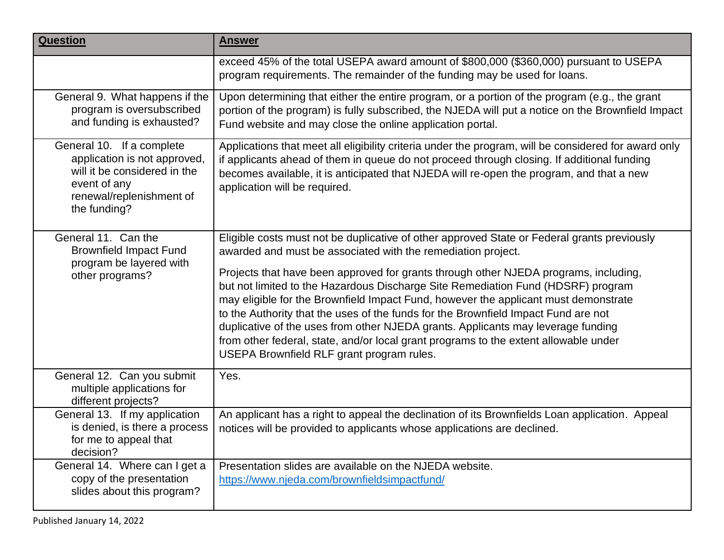| <b>Question</b>                                                                                                                                       | <b>Answer</b>                                                                                                                                                                                                                                                                                                                                                                                                                                                                                                                                                                                                                                                                                                                                 |
|-------------------------------------------------------------------------------------------------------------------------------------------------------|-----------------------------------------------------------------------------------------------------------------------------------------------------------------------------------------------------------------------------------------------------------------------------------------------------------------------------------------------------------------------------------------------------------------------------------------------------------------------------------------------------------------------------------------------------------------------------------------------------------------------------------------------------------------------------------------------------------------------------------------------|
|                                                                                                                                                       | exceed 45% of the total USEPA award amount of \$800,000 (\$360,000) pursuant to USEPA<br>program requirements. The remainder of the funding may be used for loans.                                                                                                                                                                                                                                                                                                                                                                                                                                                                                                                                                                            |
| General 9. What happens if the<br>program is oversubscribed<br>and funding is exhausted?                                                              | Upon determining that either the entire program, or a portion of the program (e.g., the grant<br>portion of the program) is fully subscribed, the NJEDA will put a notice on the Brownfield Impact<br>Fund website and may close the online application portal.                                                                                                                                                                                                                                                                                                                                                                                                                                                                               |
| General 10. If a complete<br>application is not approved,<br>will it be considered in the<br>event of any<br>renewal/replenishment of<br>the funding? | Applications that meet all eligibility criteria under the program, will be considered for award only<br>if applicants ahead of them in queue do not proceed through closing. If additional funding<br>becomes available, it is anticipated that NJEDA will re-open the program, and that a new<br>application will be required.                                                                                                                                                                                                                                                                                                                                                                                                               |
| General 11. Can the<br><b>Brownfield Impact Fund</b><br>program be layered with<br>other programs?                                                    | Eligible costs must not be duplicative of other approved State or Federal grants previously<br>awarded and must be associated with the remediation project.<br>Projects that have been approved for grants through other NJEDA programs, including,<br>but not limited to the Hazardous Discharge Site Remediation Fund (HDSRF) program<br>may eligible for the Brownfield Impact Fund, however the applicant must demonstrate<br>to the Authority that the uses of the funds for the Brownfield Impact Fund are not<br>duplicative of the uses from other NJEDA grants. Applicants may leverage funding<br>from other federal, state, and/or local grant programs to the extent allowable under<br>USEPA Brownfield RLF grant program rules. |
| General 12. Can you submit<br>multiple applications for<br>different projects?                                                                        | Yes.                                                                                                                                                                                                                                                                                                                                                                                                                                                                                                                                                                                                                                                                                                                                          |
| General 13. If my application<br>is denied, is there a process<br>for me to appeal that<br>decision?                                                  | An applicant has a right to appeal the declination of its Brownfields Loan application. Appeal<br>notices will be provided to applicants whose applications are declined.                                                                                                                                                                                                                                                                                                                                                                                                                                                                                                                                                                     |
| General 14. Where can I get a<br>copy of the presentation<br>slides about this program?                                                               | Presentation slides are available on the NJEDA website.<br>https://www.njeda.com/brownfieldsimpactfund/                                                                                                                                                                                                                                                                                                                                                                                                                                                                                                                                                                                                                                       |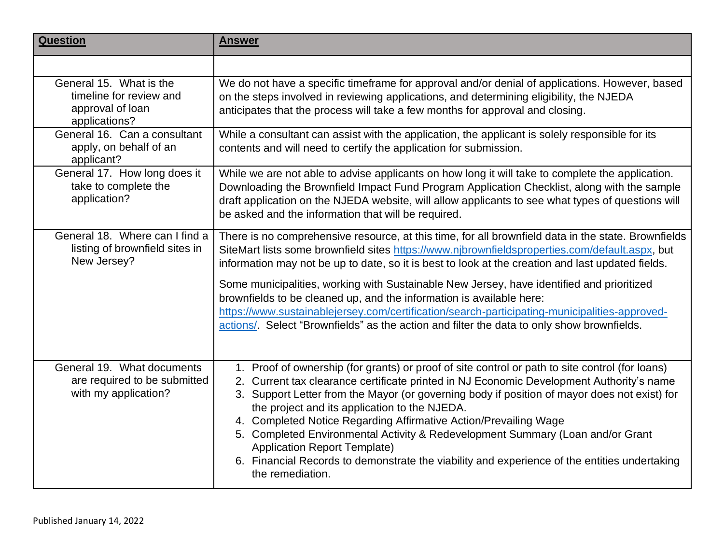| <b>Question</b>                                                                         | <b>Answer</b>                                                                                                                                                                                                                                                                                                                                                                                                                                                                                                                                                                                                                                                 |
|-----------------------------------------------------------------------------------------|---------------------------------------------------------------------------------------------------------------------------------------------------------------------------------------------------------------------------------------------------------------------------------------------------------------------------------------------------------------------------------------------------------------------------------------------------------------------------------------------------------------------------------------------------------------------------------------------------------------------------------------------------------------|
|                                                                                         |                                                                                                                                                                                                                                                                                                                                                                                                                                                                                                                                                                                                                                                               |
| General 15. What is the<br>timeline for review and<br>approval of loan<br>applications? | We do not have a specific timeframe for approval and/or denial of applications. However, based<br>on the steps involved in reviewing applications, and determining eligibility, the NJEDA<br>anticipates that the process will take a few months for approval and closing.                                                                                                                                                                                                                                                                                                                                                                                    |
| General 16. Can a consultant<br>apply, on behalf of an<br>applicant?                    | While a consultant can assist with the application, the applicant is solely responsible for its<br>contents and will need to certify the application for submission.                                                                                                                                                                                                                                                                                                                                                                                                                                                                                          |
| General 17. How long does it<br>take to complete the<br>application?                    | While we are not able to advise applicants on how long it will take to complete the application.<br>Downloading the Brownfield Impact Fund Program Application Checklist, along with the sample<br>draft application on the NJEDA website, will allow applicants to see what types of questions will<br>be asked and the information that will be required.                                                                                                                                                                                                                                                                                                   |
| General 18. Where can I find a<br>listing of brownfield sites in<br>New Jersey?         | There is no comprehensive resource, at this time, for all brownfield data in the state. Brownfields<br>SiteMart lists some brownfield sites https://www.njbrownfieldsproperties.com/default.aspx, but<br>information may not be up to date, so it is best to look at the creation and last updated fields.                                                                                                                                                                                                                                                                                                                                                    |
|                                                                                         | Some municipalities, working with Sustainable New Jersey, have identified and prioritized<br>brownfields to be cleaned up, and the information is available here:<br>https://www.sustainablejersey.com/certification/search-participating-municipalities-approved-<br>actions/. Select "Brownfields" as the action and filter the data to only show brownfields.                                                                                                                                                                                                                                                                                              |
| General 19. What documents<br>are required to be submitted<br>with my application?      | 1. Proof of ownership (for grants) or proof of site control or path to site control (for loans)<br>2. Current tax clearance certificate printed in NJ Economic Development Authority's name<br>3. Support Letter from the Mayor (or governing body if position of mayor does not exist) for<br>the project and its application to the NJEDA.<br>4. Completed Notice Regarding Affirmative Action/Prevailing Wage<br>5. Completed Environmental Activity & Redevelopment Summary (Loan and/or Grant<br><b>Application Report Template)</b><br>6. Financial Records to demonstrate the viability and experience of the entities undertaking<br>the remediation. |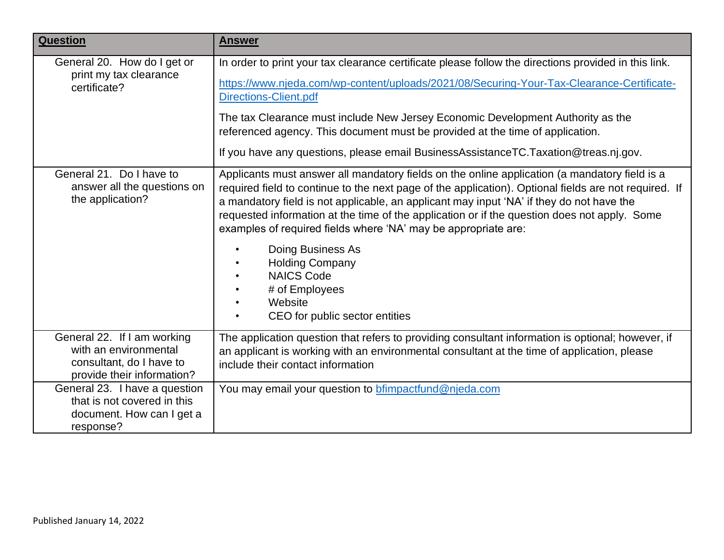| <b>Question</b>                                                                                                | <b>Answer</b>                                                                                                                                                                                                                                                                                                                                                                                                                                                                                                                                                                                           |
|----------------------------------------------------------------------------------------------------------------|---------------------------------------------------------------------------------------------------------------------------------------------------------------------------------------------------------------------------------------------------------------------------------------------------------------------------------------------------------------------------------------------------------------------------------------------------------------------------------------------------------------------------------------------------------------------------------------------------------|
| General 20. How do I get or<br>print my tax clearance<br>certificate?                                          | In order to print your tax clearance certificate please follow the directions provided in this link.<br>https://www.njeda.com/wp-content/uploads/2021/08/Securing-Your-Tax-Clearance-Certificate-<br><b>Directions-Client.pdf</b><br>The tax Clearance must include New Jersey Economic Development Authority as the<br>referenced agency. This document must be provided at the time of application.<br>If you have any questions, please email BusinessAssistanceTC.Taxation@treas.nj.gov.                                                                                                            |
| General 21. Do I have to<br>answer all the questions on<br>the application?                                    | Applicants must answer all mandatory fields on the online application (a mandatory field is a<br>required field to continue to the next page of the application). Optional fields are not required. If<br>a mandatory field is not applicable, an applicant may input 'NA' if they do not have the<br>requested information at the time of the application or if the question does not apply. Some<br>examples of required fields where 'NA' may be appropriate are:<br>Doing Business As<br><b>Holding Company</b><br><b>NAICS Code</b><br># of Employees<br>Website<br>CEO for public sector entities |
| General 22. If I am working<br>with an environmental<br>consultant, do I have to<br>provide their information? | The application question that refers to providing consultant information is optional; however, if<br>an applicant is working with an environmental consultant at the time of application, please<br>include their contact information                                                                                                                                                                                                                                                                                                                                                                   |
| General 23. I have a question<br>that is not covered in this<br>document. How can I get a<br>response?         | You may email your question to <b>bfimpactfund@njeda.com</b>                                                                                                                                                                                                                                                                                                                                                                                                                                                                                                                                            |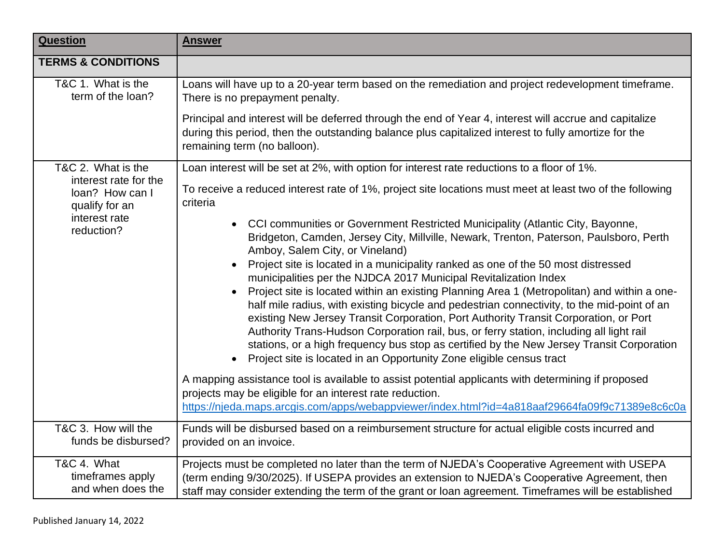| <b>Question</b>                                                                           | <b>Answer</b>                                                                                                                                                                                                                                                                                                                                                                                                                                                                                                                                                                                                                        |
|-------------------------------------------------------------------------------------------|--------------------------------------------------------------------------------------------------------------------------------------------------------------------------------------------------------------------------------------------------------------------------------------------------------------------------------------------------------------------------------------------------------------------------------------------------------------------------------------------------------------------------------------------------------------------------------------------------------------------------------------|
| <b>TERMS &amp; CONDITIONS</b>                                                             |                                                                                                                                                                                                                                                                                                                                                                                                                                                                                                                                                                                                                                      |
| T&C 1. What is the<br>term of the loan?                                                   | Loans will have up to a 20-year term based on the remediation and project redevelopment timeframe.<br>There is no prepayment penalty.                                                                                                                                                                                                                                                                                                                                                                                                                                                                                                |
|                                                                                           | Principal and interest will be deferred through the end of Year 4, interest will accrue and capitalize<br>during this period, then the outstanding balance plus capitalized interest to fully amortize for the<br>remaining term (no balloon).                                                                                                                                                                                                                                                                                                                                                                                       |
| T&C 2. What is the                                                                        | Loan interest will be set at 2%, with option for interest rate reductions to a floor of 1%.                                                                                                                                                                                                                                                                                                                                                                                                                                                                                                                                          |
| interest rate for the<br>loan? How can I<br>qualify for an<br>interest rate<br>reduction? | To receive a reduced interest rate of 1%, project site locations must meet at least two of the following<br>criteria                                                                                                                                                                                                                                                                                                                                                                                                                                                                                                                 |
|                                                                                           | • CCI communities or Government Restricted Municipality (Atlantic City, Bayonne,<br>Bridgeton, Camden, Jersey City, Millville, Newark, Trenton, Paterson, Paulsboro, Perth<br>Amboy, Salem City, or Vineland)<br>Project site is located in a municipality ranked as one of the 50 most distressed                                                                                                                                                                                                                                                                                                                                   |
|                                                                                           | municipalities per the NJDCA 2017 Municipal Revitalization Index<br>Project site is located within an existing Planning Area 1 (Metropolitan) and within a one-<br>$\bullet$<br>half mile radius, with existing bicycle and pedestrian connectivity, to the mid-point of an<br>existing New Jersey Transit Corporation, Port Authority Transit Corporation, or Port<br>Authority Trans-Hudson Corporation rail, bus, or ferry station, including all light rail<br>stations, or a high frequency bus stop as certified by the New Jersey Transit Corporation<br>Project site is located in an Opportunity Zone eligible census tract |
|                                                                                           | A mapping assistance tool is available to assist potential applicants with determining if proposed<br>projects may be eligible for an interest rate reduction.<br>https://njeda.maps.arcgis.com/apps/webappviewer/index.html?id=4a818aaf29664fa09f9c71389e8c6c0a                                                                                                                                                                                                                                                                                                                                                                     |
| T&C 3. How will the<br>funds be disbursed?                                                | Funds will be disbursed based on a reimbursement structure for actual eligible costs incurred and<br>provided on an invoice.                                                                                                                                                                                                                                                                                                                                                                                                                                                                                                         |
| T&C 4. What<br>timeframes apply<br>and when does the                                      | Projects must be completed no later than the term of NJEDA's Cooperative Agreement with USEPA<br>(term ending 9/30/2025). If USEPA provides an extension to NJEDA's Cooperative Agreement, then<br>staff may consider extending the term of the grant or loan agreement. Timeframes will be established                                                                                                                                                                                                                                                                                                                              |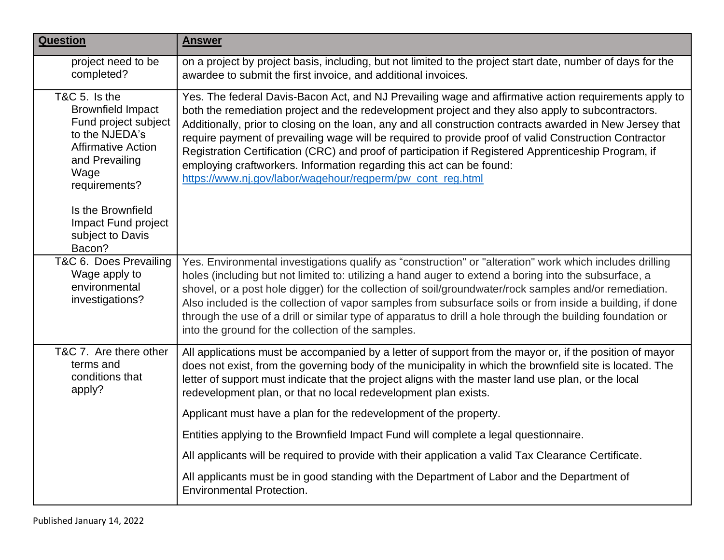| <b>Question</b>                                                                                                                                             | <b>Answer</b>                                                                                                                                                                                                                                                                                                                                                                                                                                                                                                                                                                                                                                                                  |
|-------------------------------------------------------------------------------------------------------------------------------------------------------------|--------------------------------------------------------------------------------------------------------------------------------------------------------------------------------------------------------------------------------------------------------------------------------------------------------------------------------------------------------------------------------------------------------------------------------------------------------------------------------------------------------------------------------------------------------------------------------------------------------------------------------------------------------------------------------|
| project need to be<br>completed?                                                                                                                            | on a project by project basis, including, but not limited to the project start date, number of days for the<br>awardee to submit the first invoice, and additional invoices.                                                                                                                                                                                                                                                                                                                                                                                                                                                                                                   |
| T&C 5. Is the<br><b>Brownfield Impact</b><br>Fund project subject<br>to the NJEDA's<br><b>Affirmative Action</b><br>and Prevailing<br>Wage<br>requirements? | Yes. The federal Davis-Bacon Act, and NJ Prevailing wage and affirmative action requirements apply to<br>both the remediation project and the redevelopment project and they also apply to subcontractors.<br>Additionally, prior to closing on the loan, any and all construction contracts awarded in New Jersey that<br>require payment of prevailing wage will be required to provide proof of valid Construction Contractor<br>Registration Certification (CRC) and proof of participation if Registered Apprenticeship Program, if<br>employing craftworkers. Information regarding this act can be found:<br>https://www.nj.gov/labor/wagehour/regperm/pw_cont_reg.html |
| Is the Brownfield<br>Impact Fund project<br>subject to Davis<br>Bacon?                                                                                      |                                                                                                                                                                                                                                                                                                                                                                                                                                                                                                                                                                                                                                                                                |
| T&C 6. Does Prevailing<br>Wage apply to<br>environmental<br>investigations?                                                                                 | Yes. Environmental investigations qualify as "construction" or "alteration" work which includes drilling<br>holes (including but not limited to: utilizing a hand auger to extend a boring into the subsurface, a<br>shovel, or a post hole digger) for the collection of soil/groundwater/rock samples and/or remediation.<br>Also included is the collection of vapor samples from subsurface soils or from inside a building, if done<br>through the use of a drill or similar type of apparatus to drill a hole through the building foundation or<br>into the ground for the collection of the samples.                                                                   |
| T&C 7. Are there other<br>terms and<br>conditions that<br>apply?                                                                                            | All applications must be accompanied by a letter of support from the mayor or, if the position of mayor<br>does not exist, from the governing body of the municipality in which the brownfield site is located. The<br>letter of support must indicate that the project aligns with the master land use plan, or the local<br>redevelopment plan, or that no local redevelopment plan exists.                                                                                                                                                                                                                                                                                  |
|                                                                                                                                                             | Applicant must have a plan for the redevelopment of the property.                                                                                                                                                                                                                                                                                                                                                                                                                                                                                                                                                                                                              |
|                                                                                                                                                             | Entities applying to the Brownfield Impact Fund will complete a legal questionnaire.                                                                                                                                                                                                                                                                                                                                                                                                                                                                                                                                                                                           |
|                                                                                                                                                             | All applicants will be required to provide with their application a valid Tax Clearance Certificate.                                                                                                                                                                                                                                                                                                                                                                                                                                                                                                                                                                           |
|                                                                                                                                                             | All applicants must be in good standing with the Department of Labor and the Department of<br><b>Environmental Protection.</b>                                                                                                                                                                                                                                                                                                                                                                                                                                                                                                                                                 |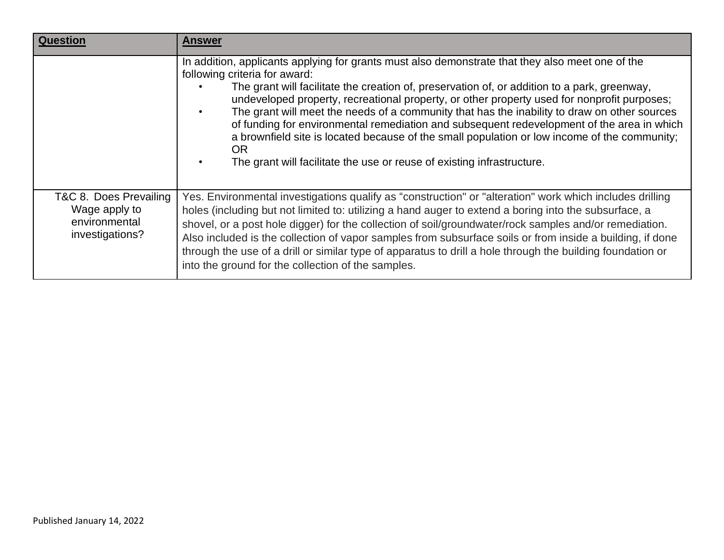| Question                                                                    | Answer                                                                                                                                                                                                                                                                                                                                                                                                                                                                                                                                                                                                                                                                                                          |
|-----------------------------------------------------------------------------|-----------------------------------------------------------------------------------------------------------------------------------------------------------------------------------------------------------------------------------------------------------------------------------------------------------------------------------------------------------------------------------------------------------------------------------------------------------------------------------------------------------------------------------------------------------------------------------------------------------------------------------------------------------------------------------------------------------------|
|                                                                             | In addition, applicants applying for grants must also demonstrate that they also meet one of the<br>following criteria for award:<br>The grant will facilitate the creation of, preservation of, or addition to a park, greenway,<br>undeveloped property, recreational property, or other property used for nonprofit purposes;<br>The grant will meet the needs of a community that has the inability to draw on other sources<br>of funding for environmental remediation and subsequent redevelopment of the area in which<br>a brownfield site is located because of the small population or low income of the community;<br>OR.<br>The grant will facilitate the use or reuse of existing infrastructure. |
| T&C 8. Does Prevailing<br>Wage apply to<br>environmental<br>investigations? | Yes. Environmental investigations qualify as "construction" or "alteration" work which includes drilling<br>holes (including but not limited to: utilizing a hand auger to extend a boring into the subsurface, a<br>shovel, or a post hole digger) for the collection of soil/groundwater/rock samples and/or remediation.<br>Also included is the collection of vapor samples from subsurface soils or from inside a building, if done<br>through the use of a drill or similar type of apparatus to drill a hole through the building foundation or<br>into the ground for the collection of the samples.                                                                                                    |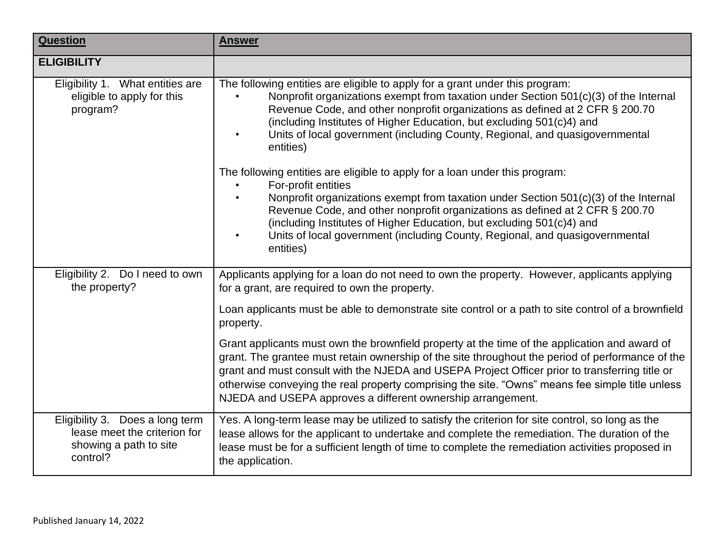| <b>Question</b>                                                                                       | <b>Answer</b>                                                                                                                                                                                                                                                                                                                                                                                                                                                                                                                                 |
|-------------------------------------------------------------------------------------------------------|-----------------------------------------------------------------------------------------------------------------------------------------------------------------------------------------------------------------------------------------------------------------------------------------------------------------------------------------------------------------------------------------------------------------------------------------------------------------------------------------------------------------------------------------------|
| <b>ELIGIBILITY</b>                                                                                    |                                                                                                                                                                                                                                                                                                                                                                                                                                                                                                                                               |
| Eligibility 1. What entities are<br>eligible to apply for this<br>program?                            | The following entities are eligible to apply for a grant under this program:<br>Nonprofit organizations exempt from taxation under Section 501(c)(3) of the Internal<br>Revenue Code, and other nonprofit organizations as defined at 2 CFR § 200.70<br>(including Institutes of Higher Education, but excluding 501(c)4) and<br>Units of local government (including County, Regional, and quasigovernmental<br>$\bullet$<br>entities)<br>The following entities are eligible to apply for a loan under this program:<br>For-profit entities |
|                                                                                                       | Nonprofit organizations exempt from taxation under Section 501(c)(3) of the Internal<br>$\bullet$<br>Revenue Code, and other nonprofit organizations as defined at 2 CFR § 200.70<br>(including Institutes of Higher Education, but excluding 501(c)4) and<br>Units of local government (including County, Regional, and quasigovernmental<br>entities)                                                                                                                                                                                       |
| Eligibility 2. Do I need to own<br>the property?                                                      | Applicants applying for a loan do not need to own the property. However, applicants applying<br>for a grant, are required to own the property.                                                                                                                                                                                                                                                                                                                                                                                                |
|                                                                                                       | Loan applicants must be able to demonstrate site control or a path to site control of a brownfield<br>property.                                                                                                                                                                                                                                                                                                                                                                                                                               |
|                                                                                                       | Grant applicants must own the brownfield property at the time of the application and award of<br>grant. The grantee must retain ownership of the site throughout the period of performance of the<br>grant and must consult with the NJEDA and USEPA Project Officer prior to transferring title or<br>otherwise conveying the real property comprising the site. "Owns" means fee simple title unless<br>NJEDA and USEPA approves a different ownership arrangement.                                                                         |
| Eligibility 3. Does a long term<br>lease meet the criterion for<br>showing a path to site<br>control? | Yes. A long-term lease may be utilized to satisfy the criterion for site control, so long as the<br>lease allows for the applicant to undertake and complete the remediation. The duration of the<br>lease must be for a sufficient length of time to complete the remediation activities proposed in<br>the application.                                                                                                                                                                                                                     |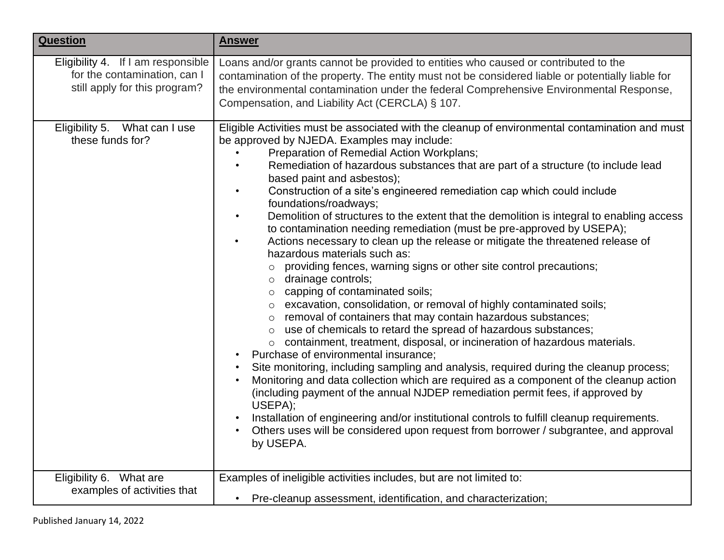| <b>Question</b>                                                                                     | <b>Answer</b>                                                                                                                                                                                                                                                                                                                                                                                                                                                                                                                                                                                                                                                                                                                                                                                                                                                                                                                                                                                                                                                                                                                                                                                                                                                                                                                                                                                                                                                                                                                                                                                                                                                                                                                                   |
|-----------------------------------------------------------------------------------------------------|-------------------------------------------------------------------------------------------------------------------------------------------------------------------------------------------------------------------------------------------------------------------------------------------------------------------------------------------------------------------------------------------------------------------------------------------------------------------------------------------------------------------------------------------------------------------------------------------------------------------------------------------------------------------------------------------------------------------------------------------------------------------------------------------------------------------------------------------------------------------------------------------------------------------------------------------------------------------------------------------------------------------------------------------------------------------------------------------------------------------------------------------------------------------------------------------------------------------------------------------------------------------------------------------------------------------------------------------------------------------------------------------------------------------------------------------------------------------------------------------------------------------------------------------------------------------------------------------------------------------------------------------------------------------------------------------------------------------------------------------------|
| Eligibility 4. If I am responsible<br>for the contamination, can I<br>still apply for this program? | Loans and/or grants cannot be provided to entities who caused or contributed to the<br>contamination of the property. The entity must not be considered liable or potentially liable for<br>the environmental contamination under the federal Comprehensive Environmental Response,<br>Compensation, and Liability Act (CERCLA) § 107.                                                                                                                                                                                                                                                                                                                                                                                                                                                                                                                                                                                                                                                                                                                                                                                                                                                                                                                                                                                                                                                                                                                                                                                                                                                                                                                                                                                                          |
| Eligibility 5.<br>What can I use<br>these funds for?                                                | Eligible Activities must be associated with the cleanup of environmental contamination and must<br>be approved by NJEDA. Examples may include:<br>Preparation of Remedial Action Workplans;<br>Remediation of hazardous substances that are part of a structure (to include lead<br>based paint and asbestos);<br>Construction of a site's engineered remediation cap which could include<br>$\bullet$<br>foundations/roadways;<br>Demolition of structures to the extent that the demolition is integral to enabling access<br>$\bullet$<br>to contamination needing remediation (must be pre-approved by USEPA);<br>Actions necessary to clean up the release or mitigate the threatened release of<br>$\bullet$<br>hazardous materials such as:<br>providing fences, warning signs or other site control precautions;<br>drainage controls;<br>$\circ$<br>$\circ$ capping of contaminated soils;<br>o excavation, consolidation, or removal of highly contaminated soils;<br>removal of containers that may contain hazardous substances;<br>$\circ$<br>use of chemicals to retard the spread of hazardous substances;<br>$\circ$<br>o containment, treatment, disposal, or incineration of hazardous materials.<br>Purchase of environmental insurance;<br>Site monitoring, including sampling and analysis, required during the cleanup process;<br>Monitoring and data collection which are required as a component of the cleanup action<br>(including payment of the annual NJDEP remediation permit fees, if approved by<br>USEPA);<br>Installation of engineering and/or institutional controls to fulfill cleanup requirements.<br>Others uses will be considered upon request from borrower / subgrantee, and approval<br>by USEPA. |
| Eligibility 6. What are<br>examples of activities that                                              | Examples of ineligible activities includes, but are not limited to:<br>• Pre-cleanup assessment, identification, and characterization;                                                                                                                                                                                                                                                                                                                                                                                                                                                                                                                                                                                                                                                                                                                                                                                                                                                                                                                                                                                                                                                                                                                                                                                                                                                                                                                                                                                                                                                                                                                                                                                                          |